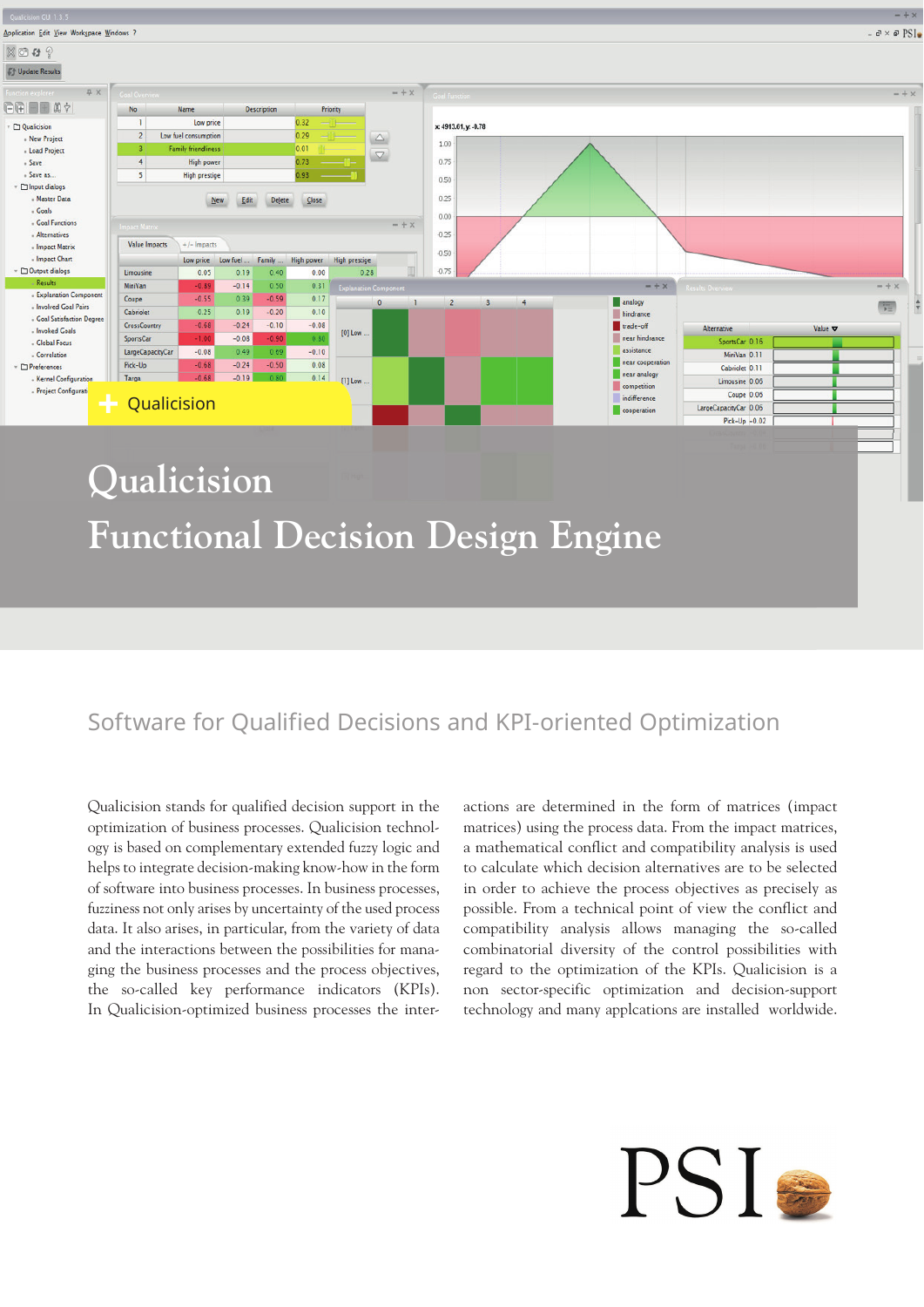

**Functional Decision Design Engine**

# Software for Qualified Decisions and KPI-oriented Optimization

Qualicision stands for qualified decision support in the optimization of business processes. Qualicision technology is based on complementary extended fuzzy logic and helps to integrate decision-making know-how in the form of software into business processes. In business processes, fuzziness not only arises by uncertainty of the used process data. It also arises, in particular, from the variety of data and the interactions between the possibilities for managing the business processes and the process objectives, the so-called key performance indicators (KPIs). In Qualicision-optimized business processes the interactions are determined in the form of matrices (impact matrices) using the process data. From the impact matrices, a mathematical conflict and compatibility analysis is used to calculate which decision alternatives are to be selected in order to achieve the process objectives as precisely as possible. From a technical point of view the conflict and compatibility analysis allows managing the so-called combinatorial diversity of the control possibilities with regard to the optimization of the KPIs. Qualicision is a non sector-specific optimization and decision-support technology and many applcations are installed worldwide.